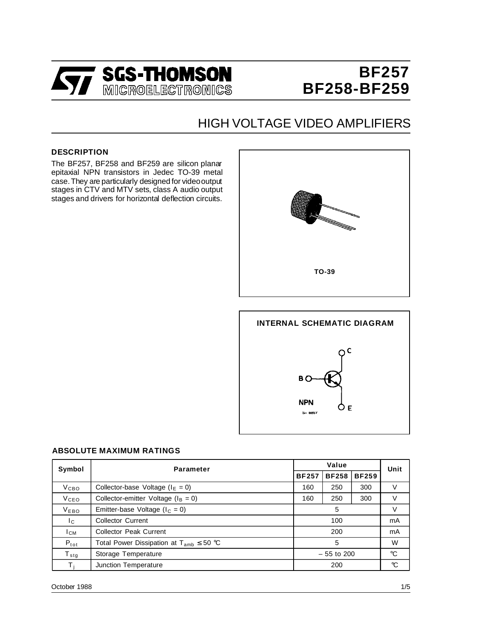

# **BF257 BF258-BF259**

## HIGH VOLTAGE VIDEO AMPLIFIERS

#### **DESCRIPTION**

The BF257, BF258 and BF259 are silicon planar epitaxial NPN transistors in Jedec TO-39 metal case.They are particularly designed for videooutput stages in CTV and MTV sets, class A audio output stages and drivers for horizontal deflection circuits.





| Symbol           | <b>Parameter</b>                                |              | Unit         |              |                 |  |
|------------------|-------------------------------------------------|--------------|--------------|--------------|-----------------|--|
|                  |                                                 | <b>BF257</b> | <b>BF258</b> | <b>BF259</b> |                 |  |
| V <sub>CBO</sub> | Collector-base Voltage ( $IE = 0$ )             | 160          | 250          | 300          | v               |  |
| <b>V</b> ceo     | Collector-emitter Voltage ( $I_B = 0$ )         | 160          | 250          | 300          | V               |  |
| V <sub>EBO</sub> | Emitter-base Voltage ( $I_c = 0$ )              | 5            |              |              | v               |  |
| Ic.              | <b>Collector Current</b>                        | 100          |              |              | mA              |  |
| $I_{CM}$         | <b>Collector Peak Current</b>                   | 200          |              |              | mA              |  |
| $P_{\text{tot}}$ | Total Power Dissipation at $T_{amb} \leq 50$ °C | 5            |              |              | W               |  |
| $T_{\text{stg}}$ | Storage Temperature                             | $-55$ to 200 |              |              | $\rm ^{\circ}C$ |  |
| T.               | Junction Temperature                            |              | 200          |              |                 |  |

#### **ABSOLUTE MAXIMUM RATINGS**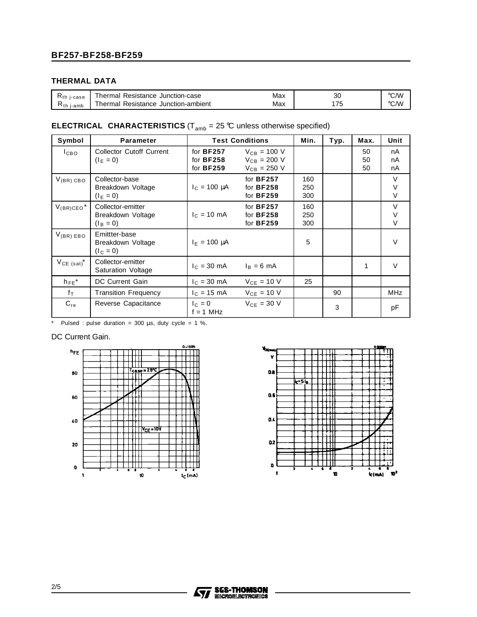#### **THERMAL DATA**

| $R_{th}$ j-case   | Thermal Resistance Junction-case    | Max | ЗС       | °C/W |
|-------------------|-------------------------------------|-----|----------|------|
| $R_{th}$<br>i-amb | Thermal Resistance Junction-ambient | Max | <b>N</b> | °C/W |

## **ELECTRICAL CHARACTERISTICS** ( $T_{amb}$  = 25 °C unless otherwise specified)

| Symbol                     | <b>Parameter</b>                                      | <b>Test Conditions</b>                     | Min.                                                     | Typ.              | Max. | <b>Unit</b>    |                       |
|----------------------------|-------------------------------------------------------|--------------------------------------------|----------------------------------------------------------|-------------------|------|----------------|-----------------------|
| I <sub>CBO</sub>           | <b>Collector Cutoff Current</b><br>$(I_E = 0)$        | for $BF257$<br>for BF258<br>for BF259      | $V_{CB} = 100 V$<br>$V_{CB} = 200 V$<br>$V_{CB} = 250 V$ |                   |      | 50<br>50<br>50 | nA<br>nA<br>nA        |
| $V_{(BR)}$ CBO             | Collector-base<br>Breakdown Voltage<br>$(I_E = 0)$    | $I_c = 100 \mu A$                          | for BF257<br>for BF258<br>for BF259                      | 160<br>250<br>300 |      |                | $\vee$<br>$\vee$<br>V |
| $V_{(BR)CEO}$ <sup>*</sup> | Collector-emitter<br>Breakdown Voltage<br>$(I_B = 0)$ | $I_C = 10 \text{ mA}$                      | for BF257<br>for BF258<br>for BF259                      | 160<br>250<br>300 |      |                | $\vee$<br>V<br>$\vee$ |
| $V_{(BR) EBO}$             | Emittter-base<br>Breakdown Voltage<br>$(I_C = 0)$     | $I_F = 100 \mu A$                          |                                                          | 5                 |      |                | $\vee$                |
| $V_{CE (sat)}$ *           | Collector-emitter<br><b>Saturation Voltage</b>        | $I_C = 30 \text{ mA}$ $I_B = 6 \text{ mA}$ |                                                          |                   |      | 1              | V                     |
| $hFE^*$                    | DC Current Gain                                       | $c = 30 \text{ mA}$                        | $VCF = 10 V$                                             | 25                |      |                |                       |
| $f_{\text{T}}$             | <b>Transition Frequency</b>                           | $I_{C} = 15 \text{ mA}$                    | $V_{CE} = 10 V$                                          |                   | 90   |                | <b>MHz</b>            |
| $C_{re}$                   | Reverse Capacitance                                   | $I_{C} = 0$<br>$f = 1$ MHz                 | $V_{CE} = 30 V$                                          |                   | 3    |                | pF                    |

\* Pulsed : pulse duration =  $300 \mu s$ , duty cycle =  $1 \%$ .

#### DC Current Gain.



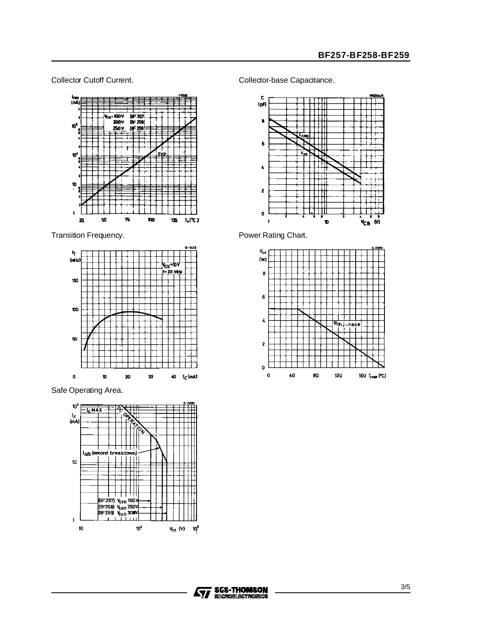

Transition Frequency. Transition Frequency.



Safe Operating Area.



Collector Cutoff Current. Collector-base Capacitance.





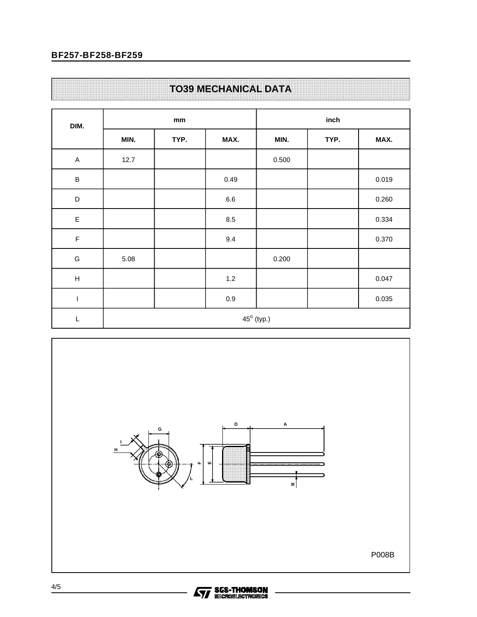### **BF257-BF258-BF259**

## **TO39 MECHANICAL DATA**

| DIM.                      | mm                  |      |         | inch  |      |       |  |
|---------------------------|---------------------|------|---------|-------|------|-------|--|
|                           | MIN.                | TYP. | MAX.    | MIN.  | TYP. | MAX.  |  |
| $\boldsymbol{\mathsf{A}}$ | 12.7                |      |         | 0.500 |      |       |  |
| $\, {\sf B}$              |                     |      | 0.49    |       |      | 0.019 |  |
| $\mathsf D$               |                     |      | $6.6\,$ |       |      | 0.260 |  |
| $\mathsf E$               |                     |      | $8.5\,$ |       |      | 0.334 |  |
| $\mathsf F$               |                     |      | 9.4     |       |      | 0.370 |  |
| G                         | 5.08                |      |         | 0.200 |      |       |  |
| $\boldsymbol{\mathsf{H}}$ |                     |      | 1.2     |       |      | 0.047 |  |
| $\sf I$                   |                     |      | $0.9\,$ |       |      | 0.035 |  |
| L                         | $45^{\circ}$ (typ.) |      |         |       |      |       |  |